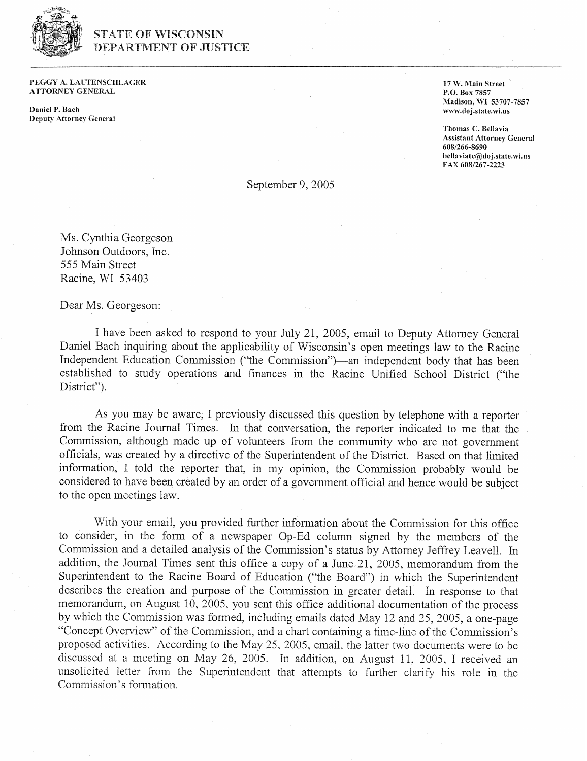

## STATE OF WISCONSIN DEPARTMENT OF JUSTICE

PEGGY A. LAUTENSCHEAGER ATTORNEY GENERAL

Daniel P. Bach Deputy Attorney Genera! **17 W.** Main Street **P.O.** Box **7857**  Madison, WI **53707-7857**  www.doj.state.wi.us

Thomas C. Bellavia Assistant Attorney General **608/266-8690 bellaviatc@doj.state.wi.us FAX 608/267-2223** 

September 9, 2005

Ms. Cynthia Georgeson Johnson Outdoors, Inc. 555 Main Street Racine, WI 53403

Dear Ms. Georgeson:

I have been asked to respond to your July 21, 2005, email to Deputy Attorney General Daniel Bach inquiring about the applicability of Wisconsin's open meetings law to the Racine Independent Education Commission ("the Commission")—an independent body that has been established to study operations and finances in the Racine Unified School District ("the District").

As you may be aware, I previously discussed this question by telephone with a reporter from the Racine Journal Times. In that conversation, the reporter indicated to me that the Commission, although made up of volunteers from the community who are not government officials, was created by a directive of the Superintendent of the District. Based on that limited information, I told the reporter that, in my opinion, the Commission probably would be considered to have been created by an order of a government official and hence would be subject to the open meetings law.

With your email, you provided further information about the Commission for this office to consider, in the form of a newspaper Op-Ed column signed by the members of the Commission and a detailed analysis of the Commission's status by Attorney Jeffrey Leavell. In addition, the Journal Times sent this office a copy of a June 21, 2005, memorandum from the Superintendent to the Racine Board of Education ("the Board") in which the Superintendent describes the creation and purpose of the Commission in greater detail. In response to that memorandum, on August 10, 2005, you sent this office additional documentation of the process by which the Commission was formed, including emails dated May 12 and 25, 2005, a one-page "Concept Overview" of the Commission, and a chart containing a time-line of the Commission's proposed activities. According to the May 25, 2005, email, the latter two documents were to be discussed at a meeting on May 26, 2005. In addition, on August 11, 2005, I received an unsolicited letter from the Superintendent that attempts to further clarify his role in the Commission's formation.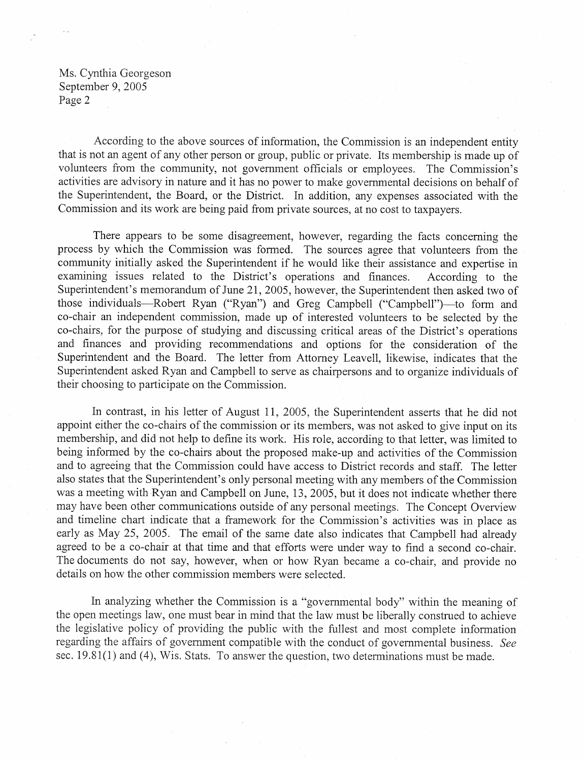According to the above sources of information, the Commission is an independent entity that is not an agent of any other person or group, public or private. Its membership is made up of volunteers from the community, not government officials or employees. The Commission's activities are advisory in nature and it has no power to make governmental decisions on behalf of the Superintendent, the Board, or the District. In addition, any expenses associated with the Commission and its work are being paid from private sources, at no cost to taxpayers.

There appears to be some disagreement, however, regarding the facts concerning the process by which the Commission was formed. The sources agree that volunteers from the community initially asked the Superintendent if he would like their assistance and expertise in examining issues related to the District's operations and finances. According to the Superintendent's memorandum of June 21,2005, however, the Superintendent then asked two of those individuals-Robert Ryan ("Ryan") and Greg Campbell ("Campbell")-to form and co-chair an independent commission, made up of interested volunteers to be selected by the co-chairs, for the purpose of studying and discussing critical areas of the District's operations and finances and providing recommendations and options for the consideration of the Superintendent and the Board. The letter from Attorney Leavell, likewise, indicates that the Superintendent asked Ryan and Campbell to serve as chairpersons and to organize individuals of their choosing to participate on the Commission.

In contrast, in his letter of August 11, 2005, the Superintendent asserts that he did not appoint either the co-chairs of the commission or its members, was not asked to give input on its membership, and did not help to define its work. His role, according to that letter, was limited to being informed by the co-chairs about the proposed make-up and activities of the Commission and to agreeing that the Commission could have access to District records and staff. The letter also states that the Superintendent's only personal meeting with any members of the Commission was a meeting with Ryan and Campbell on June, 13, 2005, but it does not indicate whether there may have been other communications outside of any personal meetings. The Concept Overview and timeline chart indicate that a framework for the Commission's activities was in place as early as May 25, 2005. The email of the same date also indicates that Campbell had already agreed to be a co-chair at that time and that efforts were under way to find a second co-chair. The documents do not say, however, when or how Ryan became a co-chair, and provide no details on how the other commission members were selected.

In analyzing whether the Commission is a "governmental body" within the meaning of the open meetings law, one must bear in mind that the law must be liberally construed to achieve the legislative policy of providing the public with the fullest and most complete information regarding the affairs of govemment compatible with the conduct of governmental business. *See*  sec. 19.81(1) and (4), Wis. Stats. To answer the question, two determinations must be made.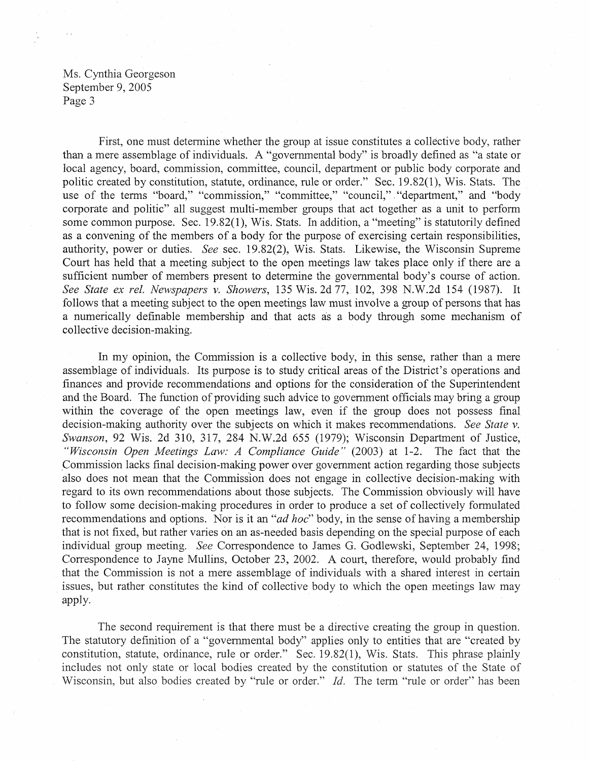First, one must determine whether the group at issue constitutes a collective body, rather than a mere assemblage of individuals. A "governmental body" is broadly defined as "a state or local agency, board, commission, committee, council, department or public body corporate and politic created by constitution, statute, ordinance, rule or order." Sec. 19.82(1), Wis. Stats. The use of the terms "board," "commission," "committee," "council," "department," and "body corporate and politic" all suggest multi-member groups that act together as a unit to perform some common purpose. Sec. 19.82(1), Wis. Stats. In addition, a "meeting" is statutorily defined as a convening of the members of a body for the purpose of exercising certain responsibilities, authority, power or duties. *See* sec. 19.82(2), Wis. Stats. Likewise, the Wisconsin Supreme Court has held that a meeting subject to the open meetings law takes place only if there are a sufficient number of members present to determine the governmental body's course of action. *See State ex rel. Newspapers v. Showers,* 135 Wis. 2d 77, 102, 398 N.W.2d 154 (1987). It follows that a meeting subject to the open meetings law must involve a group of persons that has a numerically definable membership and that acts as a body through some mechanism of collective decision-making.

In my opinion, the Commission is a collective body, in this sense, rather than a mere assemblage of individuals. Its purpose is to study critical areas of the District's operations and finances and provide recommendations and options for the consideration of the Superintendent and the Board. The function of providing such advice to government officials may bring a group within the coverage of the open meetings law, even if the group does not possess final decision-making authority over the subjects on which it makes recommendations. *See State* v. *Swanson*, 92 Wis. 2d 310, 317, 284 N.W.2d 655 (1979); Wisconsin Department of Justice, *"Wisconsin Open Meetings Law: A Compliance Guide"* (2003) at 1-2. The fact that the Commission lacks final decision-making power over government action regarding those subjects also does not mean that the Commission does not engage in collective decision-making with regard to its own recommendations about those subjects. The Commission obviously will have to follow some decision-making procedures in order to produce a set of collectively formulated recommendations and options. Nor is it an *"ad hoc"* body, in the sense of having a membership that is not fixed, but rather varies on an as-needed basis depending on the special purpose of each individual group meeting. *See* Correspondence to James G. Godlewski, September 24, 1998; Correspondence to Jayne Mullins, October 23, 2002. A court, therefore, would probably find that the Commission is not a mere assemblage of individuals with a shared interest in certain issues, but rather constitutes the kind of collective body to which the open meetings law may apply.

The second requirement is that there must be a directive creating the group in question. The statutory definition of a "governmental body" applies only to entities that are "created by constitution, statute, ordinance, rule or order." Sec. 19.82(1), Wis. Stats. This phrase plainly includes not only state or local bodies created by the constitution or statutes of the State of Wisconsin, but also bodies created by "rule or order." *Id*. The term "rule or order" has been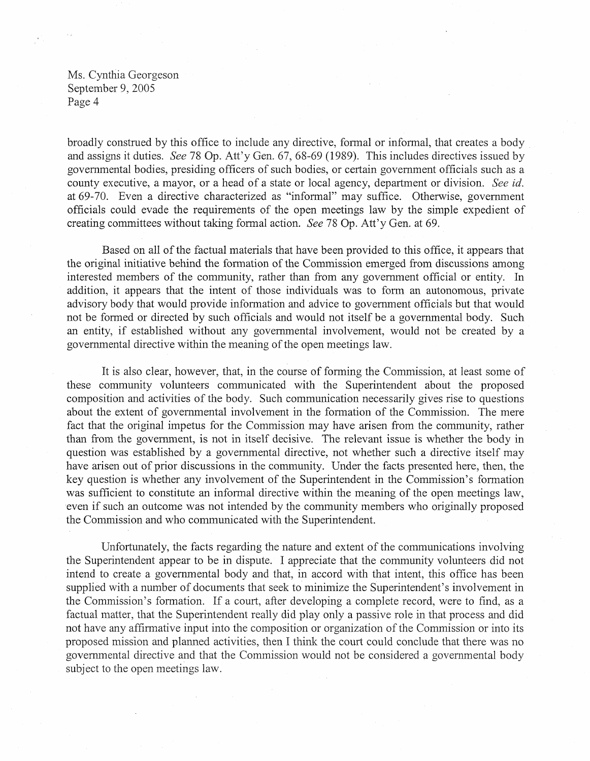broadly construed by this office to include any directive, formal or informal, that creates a body and assigns it duties. *See 78* Op. Att'y Gen. 67, 68-69 (1989). This includes directives issued by governmental bodies, presiding officers of such bodies, or certain government officials such as a county executive, a mayor, or a head of a state or local agency, department or division. *See* id. at 69-70. Even a directive characterized as "informal" may suffice. Otherwise, government officials could evade the requirements of the open meetings law by the simple expedient of creating committees without taking formal action. *See* 78 Op. Att'y Gen. at 69.

Based on all of the factual materials that have been provided to this office, it appears that the original initiative behind the formation of the Commission emerged from discussions among interested members of the community, rather than from any government official or entity. In addition, it appears that the intent of those individuals was to form an autonomous, private advisory body that would provide information and advice to government officials but that would not be formed or directed by such officials and would not itself be a governmental body. Such an entity, if established without any governmental involvement, would not be created by a governmental directive within the meaning of the open meetings law.

It is also clear, however, that, in the course of forming the Commission, at least some of these community volunteers communicated with the Superintendent about the proposed composition and activities of the body. Such communication necessarily gives rise to questions about the extent of governmental involvement in the formation of the Commission. The mere fact that the original impetus for the Commission may have arisen from the community, rather than from the government, is not in itself decisive. The relevant issue is whether the body in question was established by a governmental directive, not whether such a directive itself may have arisen out of prior discussions in the community. Under the facts presented here, then, the key question is whether any involvement of the Superintendent in the Commission's formation was sufficient to constitute an informal directive within the meaning of the open meetings law, even if such an outcome was not intended by the community members who originally proposed the Commission and who communicated with the Superintendent.

Unfortunately, the facts regarding the nature and extent of the communications involving the Superintendent appear to be in dispute. I appreciate that the community volunteers did not intend to create a governmental body and that, in accord with that intent, this office has been supplied with a number of documents that seek to minimize the Superintendent's involvement in the Commission's formation. If a court, after developing a complete record, were to find, as a factual matter, that the Superintendent really did play only a passive role in that process and did not have any affirmative input into the composition or organization of the Commission or into its proposed mission and planned activities, then I think the court could conclude that there was no governmental directive and that the Commission would not be considered a gove subject to the open meetings law.